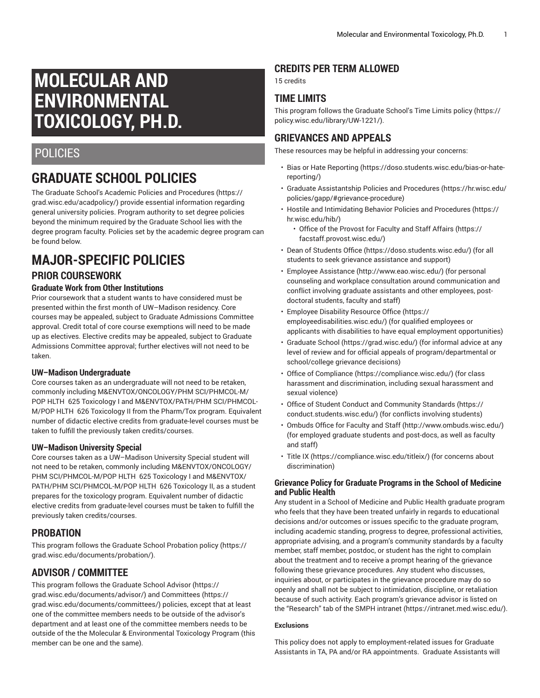# **MOLECULAR AND ENVIRONMENTAL TOXICOLOGY, PH.D.**

## POLICIES

## **GRADUATE SCHOOL POLICIES**

The Graduate School's Academic Policies and [Procedures](https://grad.wisc.edu/acadpolicy/) ([https://](https://grad.wisc.edu/acadpolicy/) [grad.wisc.edu/acadpolicy/\)](https://grad.wisc.edu/acadpolicy/) provide essential information regarding general university policies. Program authority to set degree policies beyond the minimum required by the Graduate School lies with the degree program faculty. Policies set by the academic degree program can be found below.

## **MAJOR-SPECIFIC POLICIES PRIOR COURSEWORK**

### **Graduate Work from Other Institutions**

Prior coursework that a student wants to have considered must be presented within the first month of UW–Madison residency. Core courses may be appealed, subject to Graduate Admissions Committee approval. Credit total of core course exemptions will need to be made up as electives. Elective credits may be appealed, subject to Graduate Admissions Committee approval; further electives will not need to be taken.

### **UW–Madison Undergraduate**

Core courses taken as an undergraduate will not need to be retaken, commonly including M&ENVTOX/ONCOLOGY/PHM SCI/PHMCOL-M/ POP HLTH 625 Toxicology I and M&ENVTOX/PATH/PHM SCI/PHMCOL-M/POP HLTH 626 Toxicology II from the Pharm/Tox program. Equivalent number of didactic elective credits from graduate-level courses must be taken to fulfill the previously taken credits/courses.

### **UW–Madison University Special**

Core courses taken as a UW–Madison University Special student will not need to be retaken, commonly including M&ENVTOX/ONCOLOGY/ PHM SCI/PHMCOL-M/POP HLTH 625 Toxicology I and M&ENVTOX/ PATH/PHM SCI/PHMCOL-M/POP HLTH 626 Toxicology II, as a student prepares for the toxicology program. Equivalent number of didactic elective credits from graduate-level courses must be taken to fulfill the previously taken credits/courses.

## **PROBATION**

This program follows the Graduate School [Probation](https://grad.wisc.edu/documents/probation/) policy [\(https://](https://grad.wisc.edu/documents/probation/) [grad.wisc.edu/documents/probation/](https://grad.wisc.edu/documents/probation/)).

## **ADVISOR / COMMITTEE**

This program follows the Graduate School [Advisor](https://grad.wisc.edu/documents/advisor/) [\(https://](https://grad.wisc.edu/documents/advisor/) [grad.wisc.edu/documents/advisor/](https://grad.wisc.edu/documents/advisor/)) and [Committees](https://grad.wisc.edu/documents/committees/) ([https://](https://grad.wisc.edu/documents/committees/) [grad.wisc.edu/documents/committees/\)](https://grad.wisc.edu/documents/committees/) policies, except that at least one of the committee members needs to be outside of the advisor's department and at least one of the committee members needs to be outside of the the Molecular & Environmental Toxicology Program (this member can be one and the same).

## **CREDITS PER TERM ALLOWED**

15 credits

## **TIME LIMITS**

This program follows the [Graduate School's Time Limits policy \(https://](https://policy.wisc.edu/library/UW-1221/) [policy.wisc.edu/library/UW-1221/](https://policy.wisc.edu/library/UW-1221/)).

## **GRIEVANCES AND APPEALS**

These resources may be helpful in addressing your concerns:

- Bias or Hate [Reporting \(https://doso.students.wisc.edu/bias-or-hate](https://doso.students.wisc.edu/bias-or-hate-reporting/)[reporting/](https://doso.students.wisc.edu/bias-or-hate-reporting/))
- Graduate [Assistantship](https://hr.wisc.edu/policies/gapp/#grievance-procedure) Policies and Procedures [\(https://hr.wisc.edu/](https://hr.wisc.edu/policies/gapp/#grievance-procedure) [policies/gapp/#grievance-procedure](https://hr.wisc.edu/policies/gapp/#grievance-procedure))
- Hostile and [Intimidating](https://hr.wisc.edu/hib/) Behavior Policies and Procedures [\(https://](https://hr.wisc.edu/hib/) [hr.wisc.edu/hib/\)](https://hr.wisc.edu/hib/)
	- Office of the [Provost](https://facstaff.provost.wisc.edu/) for Faculty and Staff Affairs [\(https://](https://facstaff.provost.wisc.edu/) [facstaff.provost.wisc.edu/](https://facstaff.provost.wisc.edu/))
- [Dean of Students Office \(https://doso.students.wisc.edu/\)](https://doso.students.wisc.edu/) (for all students to seek grievance assistance and support)
- Employee [Assistance](http://www.eao.wisc.edu/) [\(http://www.eao.wisc.edu/\)](http://www.eao.wisc.edu/) (for personal counseling and workplace consultation around communication and conflict involving graduate assistants and other employees, postdoctoral students, faculty and staff)
- [Employee](https://employeedisabilities.wisc.edu/) Disability Resource Office [\(https://](https://employeedisabilities.wisc.edu/) [employeedisabilities.wisc.edu/](https://employeedisabilities.wisc.edu/)) (for qualified employees or applicants with disabilities to have equal employment opportunities)
- [Graduate School](https://grad.wisc.edu/) ([https://grad.wisc.edu/\)](https://grad.wisc.edu/) (for informal advice at any level of review and for official appeals of program/departmental or school/college grievance decisions)
- [Office of Compliance](https://compliance.wisc.edu/) ([https://compliance.wisc.edu/\)](https://compliance.wisc.edu/) (for class harassment and discrimination, including sexual harassment and sexual violence)
- Office of Student Conduct and [Community](https://conduct.students.wisc.edu/) Standards ([https://](https://conduct.students.wisc.edu/) [conduct.students.wisc.edu/](https://conduct.students.wisc.edu/)) (for conflicts involving students)
- [Ombuds](http://www.ombuds.wisc.edu/) Office for Faculty and Staff ([http://www.ombuds.wisc.edu/\)](http://www.ombuds.wisc.edu/) (for employed graduate students and post-docs, as well as faculty and staff)
- [Title](https://compliance.wisc.edu/titleix/) IX [\(https://compliance.wisc.edu/titleix/\)](https://compliance.wisc.edu/titleix/) (for concerns about discrimination)

### **Grievance Policy for Graduate Programs in the School of Medicine and Public Health**

Any student in a School of Medicine and Public Health graduate program who feels that they have been treated unfairly in regards to educational decisions and/or outcomes or issues specific to the graduate program, including academic standing, progress to degree, professional activities, appropriate advising, and a program's community standards by a faculty member, staff member, postdoc, or student has the right to complain about the treatment and to receive a prompt hearing of the grievance following these grievance procedures. Any student who discusses, inquiries about, or participates in the grievance procedure may do so openly and shall not be subject to intimidation, discipline, or retaliation because of such activity. Each program's grievance advisor is listed on the "Research" tab of the SMPH [intranet \(https://intranet.med.wisc.edu/](https://intranet.med.wisc.edu/)).

#### **Exclusions**

This policy does not apply to employment-related issues for Graduate Assistants in TA, PA and/or RA appointments. Graduate Assistants will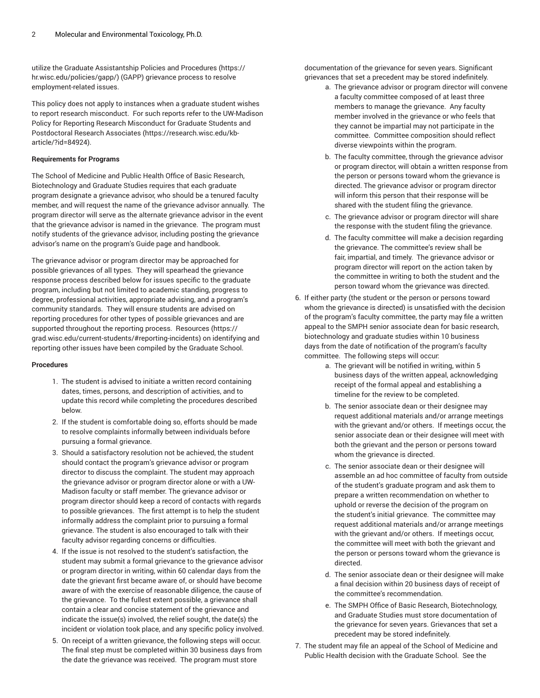utilize the Graduate [Assistantship](https://hr.wisc.edu/policies/gapp/) Policies and Procedures ([https://](https://hr.wisc.edu/policies/gapp/) [hr.wisc.edu/policies/gapp/](https://hr.wisc.edu/policies/gapp/)) (GAPP) grievance process to resolve employment-related issues.

This policy does not apply to instances when a graduate student wishes to report research misconduct. For such reports refer to the [UW-Madison](https://research.wisc.edu/kb-article/?id=84924) Policy for Reporting Research [Misconduct](https://research.wisc.edu/kb-article/?id=84924) for Graduate Students and [Postdoctoral](https://research.wisc.edu/kb-article/?id=84924) Research Associates ([https://research.wisc.edu/kb](https://research.wisc.edu/kb-article/?id=84924)[article/?id=84924](https://research.wisc.edu/kb-article/?id=84924)).

#### **Requirements for Programs**

The School of Medicine and Public Health Office of Basic Research, Biotechnology and Graduate Studies requires that each graduate program designate a grievance advisor, who should be a tenured faculty member, and will request the name of the grievance advisor annually. The program director will serve as the alternate grievance advisor in the event that the grievance advisor is named in the grievance. The program must notify students of the grievance advisor, including posting the grievance advisor's name on the program's Guide page and handbook.

The grievance advisor or program director may be approached for possible grievances of all types. They will spearhead the grievance response process described below for issues specific to the graduate program, including but not limited to academic standing, progress to degree, professional activities, appropriate advising, and a program's community standards. They will ensure students are advised on reporting procedures for other types of possible grievances and are supported throughout the reporting process. [Resources \(https://](https://grad.wisc.edu/current-students/#reporting-incidents) [grad.wisc.edu/current-students/#reporting-incidents](https://grad.wisc.edu/current-students/#reporting-incidents)) on identifying and reporting other issues have been compiled by the Graduate School.

#### **Procedures**

- 1. The student is advised to initiate a written record containing dates, times, persons, and description of activities, and to update this record while completing the procedures described below.
- 2. If the student is comfortable doing so, efforts should be made to resolve complaints informally between individuals before pursuing a formal grievance.
- 3. Should a satisfactory resolution not be achieved, the student should contact the program's grievance advisor or program director to discuss the complaint. The student may approach the grievance advisor or program director alone or with a UW-Madison faculty or staff member. The grievance advisor or program director should keep a record of contacts with regards to possible grievances. The first attempt is to help the student informally address the complaint prior to pursuing a formal grievance. The student is also encouraged to talk with their faculty advisor regarding concerns or difficulties.
- 4. If the issue is not resolved to the student's satisfaction, the student may submit a formal grievance to the grievance advisor or program director in writing, within 60 calendar days from the date the grievant first became aware of, or should have become aware of with the exercise of reasonable diligence, the cause of the grievance. To the fullest extent possible, a grievance shall contain a clear and concise statement of the grievance and indicate the issue(s) involved, the relief sought, the date(s) the incident or violation took place, and any specific policy involved.
- 5. On receipt of a written grievance, the following steps will occur. The final step must be completed within 30 business days from the date the grievance was received. The program must store

documentation of the grievance for seven years. Significant grievances that set a precedent may be stored indefinitely.

- a. The grievance advisor or program director will convene a faculty committee composed of at least three members to manage the grievance. Any faculty member involved in the grievance or who feels that they cannot be impartial may not participate in the committee. Committee composition should reflect diverse viewpoints within the program.
- b. The faculty committee, through the grievance advisor or program director, will obtain a written response from the person or persons toward whom the grievance is directed. The grievance advisor or program director will inform this person that their response will be shared with the student filing the grievance.
- c. The grievance advisor or program director will share the response with the student filing the grievance.
- d. The faculty committee will make a decision regarding the grievance. The committee's review shall be fair, impartial, and timely. The grievance advisor or program director will report on the action taken by the committee in writing to both the student and the person toward whom the grievance was directed.
- 6. If either party (the student or the person or persons toward whom the grievance is directed) is unsatisfied with the decision of the program's faculty committee, the party may file a written appeal to the SMPH senior associate dean for basic research, biotechnology and graduate studies within 10 business days from the date of notification of the program's faculty committee. The following steps will occur:
	- a. The grievant will be notified in writing, within 5 business days of the written appeal, acknowledging receipt of the formal appeal and establishing a timeline for the review to be completed.
	- b. The senior associate dean or their designee may request additional materials and/or arrange meetings with the grievant and/or others. If meetings occur, the senior associate dean or their designee will meet with both the grievant and the person or persons toward whom the grievance is directed.
	- c. The senior associate dean or their designee will assemble an ad hoc committee of faculty from outside of the student's graduate program and ask them to prepare a written recommendation on whether to uphold or reverse the decision of the program on the student's initial grievance. The committee may request additional materials and/or arrange meetings with the grievant and/or others. If meetings occur, the committee will meet with both the grievant and the person or persons toward whom the grievance is directed.
	- d. The senior associate dean or their designee will make a final decision within 20 business days of receipt of the committee's recommendation.
	- e. The SMPH Office of Basic Research, Biotechnology, and Graduate Studies must store documentation of the grievance for seven years. Grievances that set a precedent may be stored indefinitely.
- 7. The student may file an appeal of the School of Medicine and Public Health decision with the Graduate School. See the